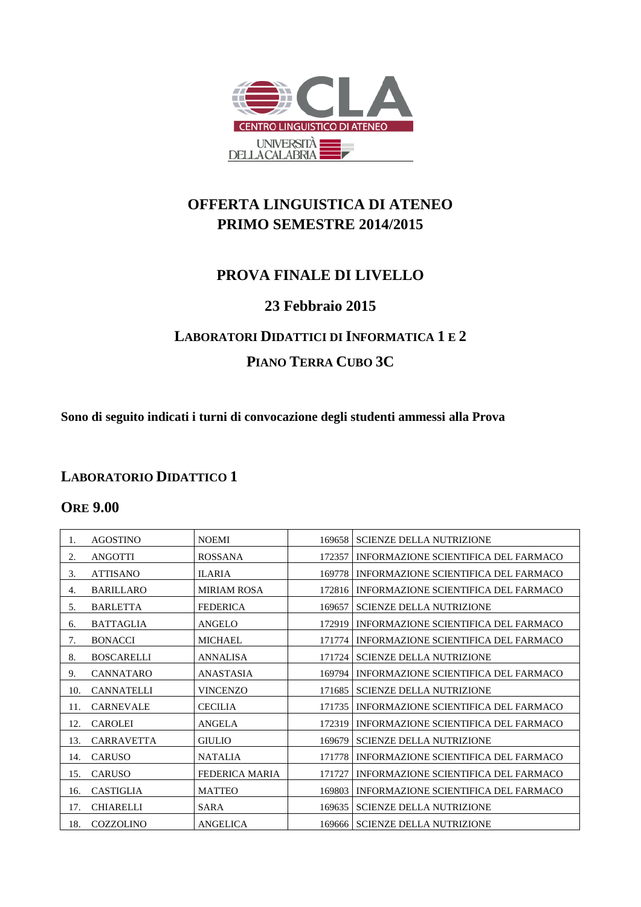

# **OFFERTA LINGUISTICA DI ATENEO PRIMO SEMESTRE 2014/2015**

## **PROVA FINALE DI LIVELLO**

#### **23 Febbraio 2015**

# **LABORATORI DIDATTICI DI INFORMATICA 1 E 2 PIANO TERRA CUBO 3C**

**Sono di seguito indicati i turni di convocazione degli studenti ammessi alla Prova**

#### **LABORATORIO DIDATTICO 1**

#### **ORE 9.00**

| 1.  | <b>AGOSTINO</b>   | <b>NOEMI</b>          | 169658 | <b>SCIENZE DELLA NUTRIZIONE</b>      |
|-----|-------------------|-----------------------|--------|--------------------------------------|
| 2.  | <b>ANGOTTI</b>    | <b>ROSSANA</b>        | 172357 | INFORMAZIONE SCIENTIFICA DEL FARMACO |
| 3.  | <b>ATTISANO</b>   | <b>ILARIA</b>         | 169778 | INFORMAZIONE SCIENTIFICA DEL FARMACO |
| 4.  | <b>BARILLARO</b>  | <b>MIRIAM ROSA</b>    | 172816 | INFORMAZIONE SCIENTIFICA DEL FARMACO |
| 5.  | <b>BARLETTA</b>   | <b>FEDERICA</b>       | 169657 | <b>SCIENZE DELLA NUTRIZIONE</b>      |
| 6.  | <b>BATTAGLIA</b>  | <b>ANGELO</b>         | 172919 | INFORMAZIONE SCIENTIFICA DEL FARMACO |
| 7.  | <b>BONACCI</b>    | <b>MICHAEL</b>        | 171774 | INFORMAZIONE SCIENTIFICA DEL FARMACO |
| 8.  | <b>BOSCARELLI</b> | <b>ANNALISA</b>       | 171724 | <b>SCIENZE DELLA NUTRIZIONE</b>      |
| 9.  | <b>CANNATARO</b>  | <b>ANASTASIA</b>      | 169794 | INFORMAZIONE SCIENTIFICA DEL FARMACO |
| 10. | <b>CANNATELLI</b> | <b>VINCENZO</b>       | 171685 | <b>SCIENZE DELLA NUTRIZIONE</b>      |
| 11. | <b>CARNEVALE</b>  | <b>CECILIA</b>        | 171735 | INFORMAZIONE SCIENTIFICA DEL FARMACO |
| 12. | <b>CAROLEI</b>    | <b>ANGELA</b>         | 172319 | INFORMAZIONE SCIENTIFICA DEL FARMACO |
| 13. | <b>CARRAVETTA</b> | <b>GIULIO</b>         | 169679 | <b>SCIENZE DELLA NUTRIZIONE</b>      |
| 14. | CARUSO            | <b>NATALIA</b>        | 171778 | INFORMAZIONE SCIENTIFICA DEL FARMACO |
| 15. | <b>CARUSO</b>     | <b>FEDERICA MARIA</b> | 171727 | INFORMAZIONE SCIENTIFICA DEL FARMACO |
| 16. | CASTIGLIA         | <b>MATTEO</b>         | 169803 | INFORMAZIONE SCIENTIFICA DEL FARMACO |
| 17. | <b>CHIARELLI</b>  | <b>SARA</b>           | 169635 | <b>SCIENZE DELLA NUTRIZIONE</b>      |
| 18. | <b>COZZOLINO</b>  | <b>ANGELICA</b>       |        | 169666   SCIENZE DELLA NUTRIZIONE    |